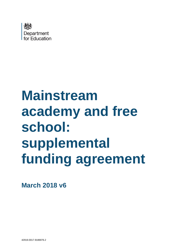

# **Mainstream academy and free school: supplemental funding agreement**

**March 2018 v6**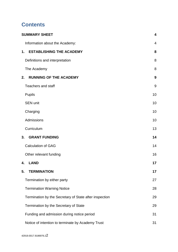# **Contents**

| <b>SUMMARY SHEET</b>                                   | $\overline{\mathbf{4}}$ |
|--------------------------------------------------------|-------------------------|
| Information about the Academy:                         | $\overline{4}$          |
| <b>ESTABLISHING THE ACADEMY</b><br>1.                  | 8                       |
| Definitions and interpretation                         | 8                       |
| The Academy                                            | 8                       |
| <b>RUNNING OF THE ACADEMY</b><br>2.                    | 9                       |
| <b>Teachers and staff</b>                              | 9                       |
| <b>Pupils</b>                                          | 10                      |
| <b>SEN unit</b>                                        | 10                      |
| Charging                                               | 10                      |
| Admissions                                             | 10                      |
| Curriculum                                             | 13                      |
| 3.<br><b>GRANT FUNDING</b>                             | 14                      |
| <b>Calculation of GAG</b>                              | 14                      |
| Other relevant funding                                 | 16                      |
| <b>LAND</b><br>4.                                      | 17                      |
| 5.<br><b>TERMINATION</b>                               | 17                      |
| Termination by either party                            | 27                      |
| <b>Termination Warning Notice</b>                      | 28                      |
| Termination by the Secretary of State after inspection | 29                      |
| Termination by the Secretary of State                  | 29                      |
| Funding and admission during notice period             | 31                      |
| Notice of intention to terminate by Academy Trust      | 31                      |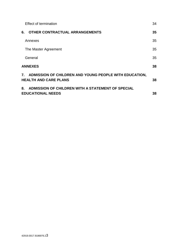| <b>Effect of termination</b>                                                              | 34 |
|-------------------------------------------------------------------------------------------|----|
| <b>OTHER CONTRACTUAL ARRANGEMENTS</b><br>6.                                               | 35 |
| Annexes                                                                                   | 35 |
| The Master Agreement                                                                      | 35 |
| General                                                                                   | 35 |
| <b>ANNEXES</b>                                                                            | 38 |
| 7. ADMISSION OF CHILDREN AND YOUNG PEOPLE WITH EDUCATION,<br><b>HEALTH AND CARE PLANS</b> | 38 |
| ADMISSION OF CHILDREN WITH A STATEMENT OF SPECIAL<br>8.<br><b>EDUCATIONAL NEEDS</b>       | 38 |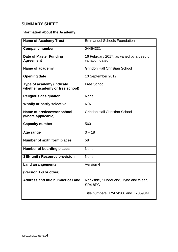# <span id="page-3-0"></span>**SUMMARY SHEET**

# <span id="page-3-1"></span>**Information about the Academy:**

| <b>Name of Academy Trust</b>                                 | <b>Emmanuel Schools Foundation</b>                          |
|--------------------------------------------------------------|-------------------------------------------------------------|
| <b>Company number</b>                                        | 04464331                                                    |
| <b>Date of Master Funding</b><br><b>Agreement</b>            | 16 February 2017, as varied by a deed of<br>variation dated |
| Name of academy                                              | <b>Grindon Hall Christian School</b>                        |
| <b>Opening date</b>                                          | 10 September 2012                                           |
| Type of academy (indicate<br>whether academy or free school) | <b>Free School</b>                                          |
| <b>Religious designation</b>                                 | None                                                        |
| Wholly or partly selective                                   | N/A                                                         |
| Name of predecessor school<br>(where applicable)             | <b>Grindon Hall Christian School</b>                        |
| <b>Capacity number</b>                                       | 560                                                         |
| Age range                                                    | $3 - 18$                                                    |
| Number of sixth form places                                  | 58                                                          |
| <b>Number of boarding places</b>                             | None                                                        |
| <b>SEN unit / Resource provision</b>                         | <b>None</b>                                                 |
| <b>Land arrangements</b>                                     | Version 4                                                   |
| (Version 1-8 or other)                                       |                                                             |
| Address and title number of Land                             | Nookside, Sunderland, Tyne and Wear,<br>SR4 8PG             |
|                                                              | Title numbers: TY474366 and TY359841                        |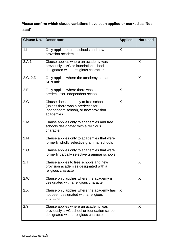# **Please confirm which clause variations have been applied or marked as 'Not used'**

| <b>Clause No.</b> | <b>Descriptor</b>                                                                                                              | <b>Applied</b> | <b>Not used</b> |
|-------------------|--------------------------------------------------------------------------------------------------------------------------------|----------------|-----------------|
| 1.1               | Only applies to free schools and new<br>provision academies                                                                    | X              |                 |
| 2.A.1             | Clause applies where an academy was<br>previously a VC or foundation school<br>designated with a religious character           |                | X               |
| 2.C, 2.D          | Only applies where the academy has an<br><b>SEN unit</b>                                                                       |                | X               |
| 2.E               | Only applies where there was a<br>predecessor independent school                                                               | X              |                 |
| 2.G               | Clause does not apply to free schools<br>(unless there was a predecessor<br>independent school), or new provision<br>academies | X              |                 |
| 2.M               | Clause applies only to academies and free<br>schools designated with a religious<br>character                                  |                | X               |
| 2.N               | Clause applies only to academies that were<br>formerly wholly selective grammar schools                                        |                | X               |
| 2.0               | Clause applies only to academies that were<br>formerly partially selective grammar schools                                     |                | X               |
| 2.7               | Clause applies to free schools and new<br>provision academies designated with a<br>religious character                         |                | X               |
| 2.W               | Clause only applies where the academy is<br>designated with a religious character                                              |                | X               |
| 2.X               | Clause only applies where the academy has<br>not been designated with a religious<br>character                                 | $\mathsf{X}$   |                 |
| 2.Y               | Clause applies where an academy was<br>previously a VC school or foundation school<br>designated with a religious character    |                | X               |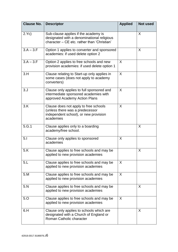| <b>Clause No.</b> | <b>Descriptor</b>                                                                                                                 | <b>Applied</b> | <b>Not used</b> |
|-------------------|-----------------------------------------------------------------------------------------------------------------------------------|----------------|-----------------|
| 2.Yc)             | Sub-clause applies if the academy is<br>designated with a denominational religious<br>character - CE etc. rather than 'Christian' |                | X               |
| $3.A - 3.F$       | Option 1 applies to converter and sponsored<br>academies: if used delete option 2                                                 |                | X               |
| $3.A - 3.F$       | Option 2 applies to free schools and new<br>provision academies: if used delete option 1                                          | X              |                 |
| 3.H               | Clause relating to Start-up only applies in<br>some cases (does not apply to academy<br>converters)                               | X              |                 |
| 3. J              | Clause only applies to full sponsored and<br>intermediate sponsored academies with<br>approved Academy Action Plans               | X              |                 |
| 3.K               | Clause does not apply to free schools<br>(unless there was a predecessor<br>independent school), or new provision<br>academies    | X              |                 |
| 5.G.1             | Clause applies only to a boarding<br>academy/free school.                                                                         |                | X               |
| 5.1               | Clause only applies to sponsored<br>academies                                                                                     | X              |                 |
| 5.K               | Clause applies to free schools and may be<br>applied to new provision academies                                                   |                | X               |
| 5.L               | Clause applies to free schools and may be<br>applied to new provision academies                                                   | $\sf X$        |                 |
| 5.M               | Clause applies to free schools and may be<br>applied to new provision academies                                                   | X              |                 |
| 5.N               | Clause applies to free schools and may be<br>applied to new provision academies                                                   |                | X               |
| 5.0               | Clause applies to free schools and may be<br>applied to new provision academies                                                   | X              |                 |
| 6.H               | Clause only applies to schools which are<br>designated with a Church of England or<br>Roman Catholic character                    |                | X               |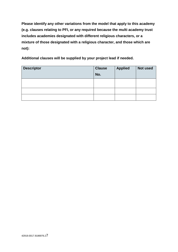**Please identify any other variations from the model that apply to this academy (e.g. clauses relating to PFI, or any required because the multi academy trust includes academies designated with different religious characters, or a mixture of those designated with a religious character, and those which are not):**

**Additional clauses will be supplied by your project lead if needed.**

| <b>Descriptor</b> | <b>Clause</b> | <b>Applied</b> | <b>Not used</b> |
|-------------------|---------------|----------------|-----------------|
|                   | No.           |                |                 |
|                   |               |                |                 |
|                   |               |                |                 |
|                   |               |                |                 |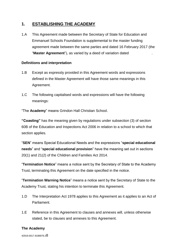# <span id="page-7-0"></span>**1. ESTABLISHING THE ACADEMY**

1.A This Agreement made between the Secretary of State for Education and Emmanuel Schools Foundation is supplemental to the master funding agreement made between the same parties and dated 16 February 2017 (the "**Master Agreement**"), as varied by a deed of variation dated .

## <span id="page-7-1"></span>**Definitions and interpretation**

- 1.B Except as expressly provided in this Agreement words and expressions defined in the Master Agreement will have those same meanings in this Agreement.
- 1.C The following capitalised words and expressions will have the following meanings:

"The **Academy**" means Grindon Hall Christian School.

**"Coasting"** has the meaning given by regulations under subsection (3) of section 60B of the Education and Inspections Act 2006 in relation to a school to which that section applies.

"**SEN**" means Special Educational Needs and the expressions "**special educational needs**" and "**special educational provision**" have the meaning set out in sections 20(1) and 21(2) of the Children and Families Act 2014.

"**Termination Notice**" means a notice sent by the Secretary of State to the Academy Trust, terminating this Agreement on the date specified in the notice.

"**Termination Warning Notice**" means a notice sent by the Secretary of State to the Academy Trust, stating his intention to terminate this Agreement.

- 1.D The Interpretation Act 1978 applies to this Agreement as it applies to an Act of Parliament.
- 1.E Reference in this Agreement to clauses and annexes will, unless otherwise stated, be to clauses and annexes to this Agreement.

#### <span id="page-7-2"></span>**The Academy**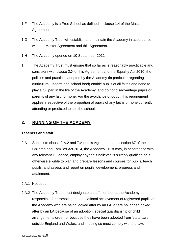- 1.F The Academy is a Free School as defined in clause 1.4 of the Master Agreement.
- 1.G The Academy Trust will establish and maintain the Academy in accordance with the Master Agreement and this Agreement.
- 1.H The Academy opened on 10 September 2012.
- 1.I The Academy Trust must ensure that so far as is reasonably practicable and consistent with clause 2.X of this Agreement and the Equality Act 2010, the policies and practices adopted by the Academy (in particular regarding curriculum, uniform and school food) enable pupils of all faiths and none to play a full part in the life of the Academy, and do not disadvantage pupils or parents of any faith or none. For the avoidance of doubt, this requirement applies irrespective of the proportion of pupils of any faiths or none currently attending or predicted to join the school.

# <span id="page-8-0"></span>**2. RUNNING OF THE ACADEMY**

#### <span id="page-8-1"></span>**Teachers and staff**

- 2.A Subject to clause 2.A.2 and 7.A of this Agreement and section 67 of the Children and Families Act 2014, the Academy Trust may, in accordance with any relevant Guidance, employ anyone it believes is suitably qualified or is otherwise eligible to plan and prepare lessons and courses for pupils, teach pupils, and assess and report on pupils' development, progress and attainment.
- 2.A.1 Not used.
- 2.A.2 The Academy Trust must designate a staff member at the Academy as responsible for promoting the educational achievement of registered pupils at the Academy who are being looked after by an LA, or are no longer looked after by an LA because of an adoption, special guardianship or child arrangements order, or because they have been adopted from 'state care' outside England and Wales, and in doing so must comply with the law,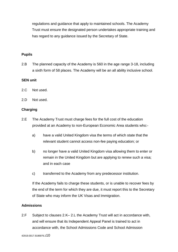regulations and guidance that apply to maintained schools. The Academy Trust must ensure the designated person undertakes appropriate training and has regard to any guidance issued by the Secretary of State.

#### <span id="page-9-0"></span>**Pupils**

2.B The planned capacity of the Academy is 560 in the age range 3-18, including a sixth form of 58 places. The Academy will be an all ability inclusive school.

#### <span id="page-9-1"></span>**SEN unit**

- 2.C Not used.
- 2.D Not used.

#### <span id="page-9-2"></span>**Charging**

- 2.E The Academy Trust must charge fees for the full cost of the education provided at an Academy to non-European Economic Area students who:
	- a) have a valid United Kingdom visa the terms of which state that the relevant student cannot access non-fee paying education; or
	- b) no longer have a valid United Kingdom visa allowing them to enter or remain in the United Kingdom but are applying to renew such a visa; and in each case
	- c) transferred to the Academy from any predecessor institution.

If the Academy fails to charge these students, or is unable to recover fees by the end of the term for which they are due, it must report this to the Secretary of State who may inform the UK Visas and Immigration.

#### <span id="page-9-3"></span>**Admissions**

2.F Subject to clauses 2.K– 2.L the Academy Trust will act in accordance with, and will ensure that its Independent Appeal Panel is trained to act in accordance with, the School Admissions Code and School Admission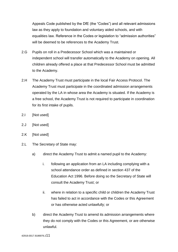Appeals Code published by the DfE (the "Codes") and all relevant admissions law as they apply to foundation and voluntary aided schools, and with equalities law. Reference in the Codes or legislation to "admission authorities" will be deemed to be references to the Academy Trust.

- 2.G Pupils on roll in a Predecessor School which was a maintained or independent school will transfer automatically to the Academy on opening. All children already offered a place at that Predecessor School must be admitted to the Academy.
- 2.H The Academy Trust must participate in the local Fair Access Protocol. The Academy Trust must participate in the coordinated admission arrangements operated by the LA in whose area the Academy is situated. If the Academy is a free school, the Academy Trust is not required to participate in coordination for its first intake of pupils.
- 2.I [Not used]
- 2.J [Not used]
- 2.K [Not used]
- 2.L The Secretary of State may:
	- a) direct the Academy Trust to admit a named pupil to the Academy:
		- i. following an application from an LA including complying with a school attendance order as defined in section 437 of the Education Act 1996. Before doing so the Secretary of State will consult the Academy Trust; or
		- ii. where in relation to a specific child or children the Academy Trust has failed to act in accordance with the Codes or this Agreement or has otherwise acted unlawfully; or
	- b) direct the Academy Trust to amend its admission arrangements where they do not comply with the Codes or this Agreement, or are otherwise unlawful.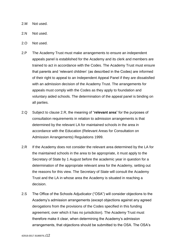- 2.M Not used.
- 2.N Not used.
- 2.O Not used.
- 2.P The Academy Trust must make arrangements to ensure an independent appeals panel is established for the Academy and its clerk and members are trained to act in accordance with the Codes. The Academy Trust must ensure that parents and 'relevant children' (as described in the Codes) are informed of their right to appeal to an Independent Appeal Panel if they are dissatisfied with an admission decision of the Academy Trust. The arrangements for appeals must comply with the Codes as they apply to foundation and voluntary aided schools. The determination of the appeal panel is binding on all parties.
- 2.Q Subject to clause 2.R, the meaning of "**relevant area**" for the purposes of consultation requirements in relation to admission arrangements is that determined by the relevant LA for maintained schools in the area in accordance with the Education (Relevant Areas for Consultation on Admission Arrangements) Regulations 1999.
- 2.R If the Academy does not consider the relevant area determined by the LA for the maintained schools in the area to be appropriate, it must apply to the Secretary of State by 1 August before the academic year in question for a determination of the appropriate relevant area for the Academy, setting out the reasons for this view. The Secretary of State will consult the Academy Trust and the LA in whose area the Academy is situated in reaching a decision.
- 2.S The Office of the Schools Adjudicator ("OSA") will consider objections to the Academy's admission arrangements (except objections against any agreed derogations from the provisions of the Codes specified in this funding agreement, over which it has no jurisdiction). The Academy Trust must therefore make it clear, when determining the Academy's admission arrangements, that objections should be submitted to the OSA. The OSA's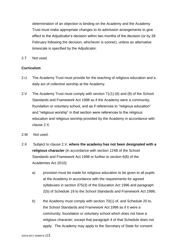determination of an objection is binding on the Academy and the Academy Trust must make appropriate changes to its admission arrangements to give effect to the Adjudicator's decision within two months of the decision (or by 28 February following the decision, whichever is sooner), unless an alternative timescale is specified by the Adjudicator.

2.T Not used.

## <span id="page-12-0"></span>**Curriculum**

- 2.U The Academy Trust must provide for the teaching of religious education and a daily act of collective worship at the Academy.
- 2.V The Academy Trust must comply with section 71(1)-(6) and (8) of the School Standards and Framework Act 1998 as if the Academy were a community, foundation or voluntary school, and as if references to "religious education" and "religious worship" in that section were references to the religious education and religious worship provided by the Academy in accordance with clause 2.X.
- 2.W Not used.
- 2.X Subject to clause 2.V, **where the academy has not been designated with a religious character** (in accordance with section 124B of the School Standards and Framework Act 1998 or further to section 6(8) of the Academies Act 2010):
	- a) provision must be made for religious education to be given to all pupils at the Academy in accordance with the requirements for agreed syllabuses in section 375(3) of the Education Act 1996 and paragraph 2(5) of Schedule 19 to the School Standards and Framework Act 1998;
	- b) the Academy must comply with section 70(1) of, and Schedule 20 to, the School Standards and Framework Act 1998 as if it were a community, foundation or voluntary school which does not have a religious character, except that paragraph 4 of that Schedule does not apply. The Academy may apply to the Secretary of State for consent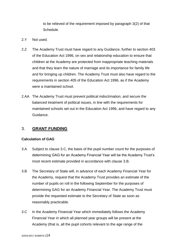to be relieved of the requirement imposed by paragraph 3(2) of that Schedule.

- 2.Y Not used.
- 2.Z The Academy Trust must have regard to any Guidance, further to section 403 of the Education Act 1996, on sex and relationship education to ensure that children at the Academy are protected from inappropriate teaching materials and that they learn the nature of marriage and its importance for family life and for bringing up children. The Academy Trust must also have regard to the requirements in section 405 of the Education Act 1996, as if the Academy were a maintained school.
- 2.AA The Academy Trust must prevent political indoctrination, and secure the balanced treatment of political issues, in line with the requirements for maintained schools set out in the Education Act 1996, and have regard to any Guidance.

# <span id="page-13-0"></span>3. **GRANT FUNDING**

#### <span id="page-13-1"></span>**Calculation of GAG**

- 3.A Subject to clause 3.C, the basis of the pupil number count for the purposes of determining GAG for an Academy Financial Year will be the Academy Trust's most recent estimate provided in accordance with clause 3.B.
- 3.B The Secretary of State will, in advance of each Academy Financial Year for the Academy, request that the Academy Trust provides an estimate of the number of pupils on roll in the following September for the purposes of determining GAG for an Academy Financial Year. The Academy Trust must provide the requested estimate to the Secretary of State as soon as reasonably practicable.
- 3.C In the Academy Financial Year which immediately follows the Academy Financial Year in which all planned year groups will be present at the Academy (that is, all the pupil cohorts relevant to the age range of the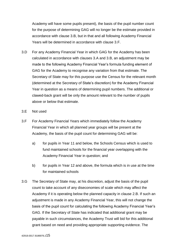Academy will have some pupils present), the basis of the pupil number count for the purpose of determining GAG will no longer be the estimate provided in accordance with clause 3.B, but in that and all following Academy Financial Years will be determined in accordance with clause 3.F.

- 3.D For any Academy Financial Year in which GAG for the Academy has been calculated in accordance with clauses 3.A and 3.B, an adjustment may be made to the following Academy Financial Year's formula funding element of GAG for the Academy to recognise any variation from that estimate. The Secretary of State may for this purpose use the Census for the relevant month (determined at the Secretary of State's discretion) for the Academy Financial Year in question as a means of determining pupil numbers. The additional or clawed-back grant will be only the amount relevant to the number of pupils above or below that estimate.
- 3.E Not used
- 3.F For Academy Financial Years which immediately follow the Academy Financial Year in which all planned year groups will be present at the Academy, the basis of the pupil count for determining GAG will be:
	- a) for pupils in Year 11 and below, the Schools Census which is used to fund maintained schools for the financial year overlapping with the Academy Financial Year in question; and
	- b) for pupils in Year 12 and above, the formula which is in use at the time for maintained schools
- 3.G The Secretary of State may, at his discretion, adjust the basis of the pupil count to take account of any diseconomies of scale which may affect the Academy if it is operating below the planned capacity in clause 2.B. If such an adjustment is made in any Academy Financial Year, this will not change the basis of the pupil count for calculating the following Academy Financial Year's GAG. If the Secretary of State has indicated that additional grant may be payable in such circumstances, the Academy Trust will bid for this additional grant based on need and providing appropriate supporting evidence. The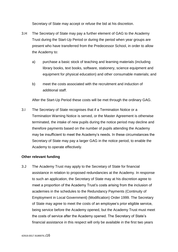Secretary of State may accept or refuse the bid at his discretion.

- 3.H The Secretary of State may pay a further element of GAG to the Academy Trust during the Start-Up Period or during the period when year groups are present who have transferred from the Predecessor School, in order to allow the Academy to:
	- a) purchase a basic stock of teaching and learning materials (including library books, text books, software, stationery, science equipment and equipment for physical education) and other consumable materials; and
	- b) meet the costs associated with the recruitment and induction of additional staff.

After the Start-Up Period these costs will be met through the ordinary GAG.

3.I The Secretary of State recognises that if a Termination Notice or a Termination Warning Notice is served, or the Master Agreement is otherwise terminated, the intake of new pupils during the notice period may decline and therefore payments based on the number of pupils attending the Academy may be insufficient to meet the Academy's needs. In these circumstances the Secretary of State may pay a larger GAG in the notice period, to enable the Academy to operate effectively.

#### <span id="page-15-0"></span>**Other relevant funding**

3.J The Academy Trust may apply to the Secretary of State for financial assistance in relation to proposed redundancies at the Academy. In response to such an application, the Secretary of State may at his discretion agree to meet a proportion of the Academy Trust's costs arising from the inclusion of academies in the schedules to the Redundancy Payments (Continuity of Employment in Local Government) (Modification) Order 1999. The Secretary of State may agree to meet the costs of an employee's prior eligible service, being service before the Academy opened, but the Academy Trust must meet the costs of service after the Academy opened. The Secretary of State's financial assistance in this respect will only be available in the first two years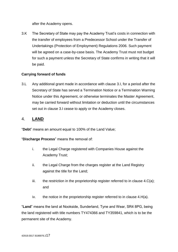after the Academy opens.

3.K The Secretary of State may pay the Academy Trust's costs in connection with the transfer of employees from a Predecessor School under the Transfer of Undertakings (Protection of Employment) Regulations 2006. Such payment will be agreed on a case-by-case basis. The Academy Trust must not budget for such a payment unless the Secretary of State confirms in writing that it will be paid.

# **Carrying forward of funds**

3.L Any additional grant made in accordance with clause 3.I, for a period after the Secretary of State has served a Termination Notice or a Termination Warning Notice under this Agreement, or otherwise terminates the Master Agreement, may be carried forward without limitation or deduction until the circumstances set out in clause 3.I cease to apply or the Academy closes.

# <span id="page-16-0"></span>4. **LAND**

<span id="page-16-1"></span>"**Debt**" means an amount equal to 100% of the Land Value;

"**Discharge Process**" means the removal of:

- i. the Legal Charge registered with Companies House against the Academy Trust;
- ii. the Legal Charge from the charges register at the Land Registry against the title for the Land;
- iii. the restriction in the proprietorship register referred to in clause  $4.C(a)$ ; and
- iv. the notice in the proprietorship register referred to in clause 4.H(a).

"**Land**" means the land at Nookside, Sunderland, Tyne and Wear, SR4 8PG, being the land registered with title numbers TY474366 and TY359841, which is to be the permanent site of the Academy.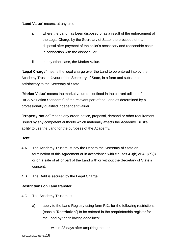"**Land Value**" means, at any time:

- i. where the Land has been disposed of as a result of the enforcement of the Legal Charge by the Secretary of State, the proceeds of that disposal after payment of the seller's necessary and reasonable costs in connection with the disposal; or
- ii. in any other case, the Market Value.

"**Legal Charge**" means the legal charge over the Land to be entered into by the Academy Trust in favour of the Secretary of State, in a form and substance satisfactory to the Secretary of State.

"**Market Value**" means the market value (as defined in the current edition of the RICS Valuation Standards) of the relevant part of the Land as determined by a professionally qualified independent valuer.

"**Property Notice**" means any order, notice, proposal, demand or other requirement issued by any competent authority which materially affects the Academy Trust's ability to use the Land for the purposes of the Academy.

# **Debt**

- 4.A The Academy Trust must pay the Debt to the Secretary of State on termination of this Agreement or in accordance with clauses 4.J(b) or 4.Q(b)(i) or on a sale of all or part of the Land with or without the Secretary of State's consent.
- 4.B The Debt is secured by the Legal Charge.

# **Restrictions on Land transfer**

- 4.C The Academy Trust must:
	- a) apply to the Land Registry using form RX1 for the following restrictions (each a "**Restriction**") to be entered in the proprietorship register for the Land by the following deadlines:
		- i. within 28 days after acquiring the Land: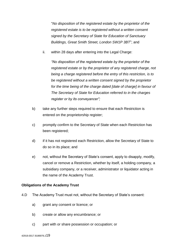"*No disposition of the registered estate by the proprietor of the registered estate is to be registered without a written consent signed by the Secretary of State for Education of Sanctuary Buildings, Great Smith Street, London SW1P 3BT*"; and

ii. within 28 days after entering into the Legal Charge:

*"No disposition of the registered estate by the proprietor of the registered estate or by the proprietor of any registered charge, not being a charge registered before the entry of this restriction, is to be registered without a written consent signed by the proprietor for the time being of the charge dated [date of charge] in favour of The Secretary of State for Education referred to in the charges register or by its conveyancer";*

- b) take any further steps required to ensure that each Restriction is entered on the proprietorship register;
- c) promptly confirm to the Secretary of State when each Restriction has been registered;
- d) if it has not registered each Restriction, allow the Secretary of State to do so in its place; and
- e) not, without the Secretary of State's consent, apply to disapply, modify, cancel or remove a Restriction, whether by itself, a holding company, a subsidiary company, or a receiver, administrator or liquidator acting in the name of the Academy Trust.

#### **Obligations of the Academy Trust**

- 4.D The Academy Trust must not, without the Secretary of State's consent:
	- a) grant any consent or licence; or
	- b) create or allow any encumbrance; or
	- c) part with or share possession or occupation; or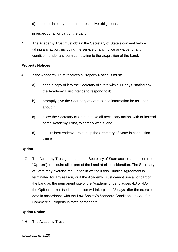d) enter into any onerous or restrictive obligations,

in respect of all or part of the Land.

4.E The Academy Trust must obtain the Secretary of State's consent before taking any action, including the service of any notice or waiver of any condition, under any contract relating to the acquisition of the Land.

## **Property Notices**

- 4.F If the Academy Trust receives a Property Notice, it must:
	- a) send a copy of it to the Secretary of State within 14 days, stating how the Academy Trust intends to respond to it;
	- b) promptly give the Secretary of State all the information he asks for about it;
	- c) allow the Secretary of State to take all necessary action, with or instead of the Academy Trust, to comply with it, and
	- d) use its best endeavours to help the Secretary of State in connection with it.

# **Option**

4.G The Academy Trust grants and the Secretary of State accepts an option (the "**Option**") to acquire all or part of the Land at nil consideration. The Secretary of State may exercise the Option in writing if this Funding Agreement is terminated for any reason, or if the Academy Trust cannot use all or part of the Land as the permanent site of the Academy under clauses 4.J or 4.Q. If the Option is exercised, completion will take place 28 days after the exercise date in accordance with the Law Society's Standard Conditions of Sale for Commercial Property in force at that date.

#### **Option Notice**

4.H The Academy Trust: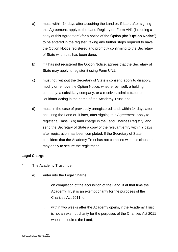- a) must, within 14 days after acquiring the Land or, if later, after signing this Agreement, apply to the Land Registry on Form AN1 (including a copy of this Agreement) for a notice of the Option (the "**Option Notice**") to be entered in the register, taking any further steps required to have the Option Notice registered and promptly confirming to the Secretary of State when this has been done;
- b) if it has not registered the Option Notice, agrees that the Secretary of State may apply to register it using Form UN1;
- c) must not, without the Secretary of State's consent, apply to disapply, modify or remove the Option Notice, whether by itself, a holding company, a subsidiary company, or a receiver, administrator or liquidator acting in the name of the Academy Trust, and
- d) must, in the case of previously unregistered land, within 14 days after acquiring the Land or, if later, after signing this Agreement, apply to register a Class C(iv) land charge in the Land Charges Registry, and send the Secretary of State a copy of the relevant entry within 7 days after registration has been completed. If the Secretary of State considers that the Academy Trust has not complied with this clause, he may apply to secure the registration.

# **Legal Charge**

- 4.I The Academy Trust must
	- a) enter into the Legal Charge:
		- i. on completion of the acquisition of the Land, if at that time the Academy Trust is an exempt charity for the purposes of the Charities Act 2011, or
		- ii. within two weeks after the Academy opens, if the Academy Trust is not an exempt charity for the purposes of the Charities Act 2011 when it acquires the Land;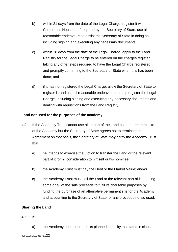- b) within 21 days from the date of the Legal Charge, register it with Companies House or, if required by the Secretary of State, use all reasonable endeavours to assist the Secretary of State in doing so, including signing and executing any necessary documents;
- c) within 28 days from the date of the Legal Charge, apply to the Land Registry for the Legal Charge to be entered on the charges register, taking any other steps required to have the Legal Charge registered and promptly confirming to the Secretary of State when this has been done; and
- d) if it has not registered the Legal Charge, allow the Secretary of State to register it, and use all reasonable endeavours to help register the Legal Charge, including signing and executing any necessary documents and dealing with requisitions from the Land Registry.

# **Land not used for the purposes of the academy**

- 4.J If the Academy Trust cannot use all or part of the Land as the permanent site of the Academy but the Secretary of State agrees not to terminate this Agreement on that basis, the Secretary of State may notify the Academy Trust that:
	- a) he intends to exercise the Option to transfer the Land or the relevant part of it for nil consideration to himself or his nominee;
	- b) the Academy Trust must pay the Debt or the Market Value; and/or
	- c) the Academy Trust must sell the Land or the relevant part of it, keeping some or all of the sale proceeds to fulfil its charitable purposes by funding the purchase of an alternative permanent site for the Academy, and accounting to the Secretary of State for any proceeds not so used.

# **Sharing the Land**

#### 4.K If:

a) the Academy does not reach its planned capacity, as stated in clause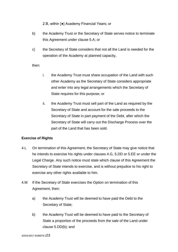2.B, within [●] Academy Financial Years; or

- b) the Academy Trust or the Secretary of State serves notice to terminate this Agreement under clause 5.A; or
- c) the Secretary of State considers that not all the Land is needed for the operation of the Academy at planned capacity,

then:

- i. the Academy Trust must share occupation of the Land with such other Academy as the Secretary of State considers appropriate and enter into any legal arrangements which the Secretary of State requires for this purpose; or
- ii. the Academy Trust must sell part of the Land as required by the Secretary of State and account for the sale proceeds to the Secretary of State in part payment of the Debt, after which the Secretary of State will carry out the Discharge Process over the part of the Land that has been sold.

# **Exercise of Rights**

- 4.L On termination of this Agreement, the Secretary of State may give notice that he intends to exercise his rights under clauses 4.G, 5.DD or 5.EE or under the Legal Charge. Any such notice must state which clause of this Agreement the Secretary of State intends to exercise, and is without prejudice to his right to exercise any other rights available to him.
- 4.M If the Secretary of State exercises the Option on termination of this Agreement, then:
	- a) the Academy Trust will be deemed to have paid the Debt to the Secretary of State;
	- b) the Academy Trust will be deemed to have paid to the Secretary of State a proportion of the proceeds from the sale of the Land under clause 5.DD(b); and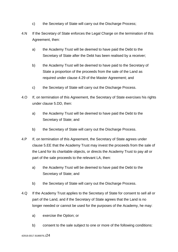- c) the Secretary of State will carry out the Discharge Process;
- 4.N If the Secretary of State enforces the Legal Charge on the termination of this Agreement, then:
	- a) the Academy Trust will be deemed to have paid the Debt to the Secretary of State after the Debt has been realised by a receiver;
	- b) the Academy Trust will be deemed to have paid to the Secretary of State a proportion of the proceeds from the sale of the Land as required under clause 4.29 of the Master Agreement; and
	- c) the Secretary of State will carry out the Discharge Process.
- 4.O If, on termination of this Agreement, the Secretary of State exercises his rights under clause 5.DD, then:
	- a) the Academy Trust will be deemed to have paid the Debt to the Secretary of State; and
	- b) the Secretary of State will carry out the Discharge Process.
- 4.P If, on termination of this Agreement, the Secretary of State agrees under clause 5.EE that the Academy Trust may invest the proceeds from the sale of the Land for its charitable objects, or directs the Academy Trust to pay all or part of the sale proceeds to the relevant LA, then:
	- a) the Academy Trust will be deemed to have paid the Debt to the Secretary of State; and
	- b) the Secretary of State will carry out the Discharge Process.
- 4.Q If the Academy Trust applies to the Secretary of State for consent to sell all or part of the Land, and if the Secretary of State agrees that the Land is no longer needed or cannot be used for the purposes of the Academy, he may:
	- a) exercise the Option; or
	- b) consent to the sale subject to one or more of the following conditions: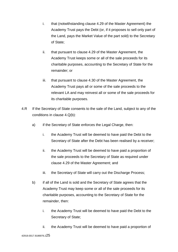- i. that (notwithstanding clause 4.29 of the Master Agreement) the Academy Trust pays the Debt (or, if it proposes to sell only part of the Land, pays the Market Value of the part sold) to the Secretary of State;
- ii. that pursuant to clause 4.29 of the Master Agreement, the Academy Trust keeps some or all of the sale proceeds for its charitable purposes, accounting to the Secretary of State for the remainder; or
- iii. that pursuant to clause 4.30 of the Master Agreement, the Academy Trust pays all or some of the sale proceeds to the relevant LA and may reinvest all or some of the sale proceeds for its charitable purposes.
- 4.R If the Secretary of State consents to the sale of the Land, subject to any of the conditions in clause 4.Q(b):
	- a) if the Secretary of State enforces the Legal Charge, then:
		- i. the Academy Trust will be deemed to have paid the Debt to the Secretary of State after the Debt has been realised by a receiver;
		- ii. the Academy Trust will be deemed to have paid a proportion of the sale proceeds to the Secretary of State as required under clause 4.29 of the Master Agreement; and
		- iii. the Secretary of State will carry out the Discharge Process;
	- b) if all of the Land is sold and the Secretary of State agrees that the Academy Trust may keep some or all of the sale proceeds for its charitable purposes, accounting to the Secretary of State for the remainder, then:
		- i. the Academy Trust will be deemed to have paid the Debt to the Secretary of State;
		- ii. the Academy Trust will be deemed to have paid a proportion of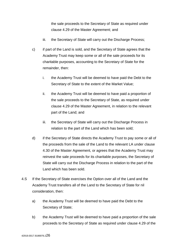the sale proceeds to the Secretary of State as required under clause 4.29 of the Master Agreement; and

- iii. the Secretary of State will carry out the Discharge Process;
- c) if part of the Land is sold, and the Secretary of State agrees that the Academy Trust may keep some or all of the sale proceeds for its charitable purposes, accounting to the Secretary of State for the remainder, then:
	- i. the Academy Trust will be deemed to have paid the Debt to the Secretary of State to the extent of the Market Value;
	- ii. the Academy Trust will be deemed to have paid a proportion of the sale proceeds to the Secretary of State, as required under clause 4.29 of the Master Agreement, in relation to the relevant part of the Land; and
	- iii. the Secretary of State will carry out the Discharge Process in relation to the part of the Land which has been sold;
- d) if the Secretary of State directs the Academy Trust to pay some or all of the proceeds from the sale of the Land to the relevant LA under clause 4.30 of the Master Agreement, or agrees that the Academy Trust may reinvest the sale proceeds for its charitable purposes, the Secretary of State will carry out the Discharge Process in relation to the part of the Land which has been sold.
- 4.S If the Secretary of State exercises the Option over all of the Land and the Academy Trust transfers all of the Land to the Secretary of State for nil consideration, then:
	- a) the Academy Trust will be deemed to have paid the Debt to the Secretary of State;
	- b) the Academy Trust will be deemed to have paid a proportion of the sale proceeds to the Secretary of State as required under clause 4.29 of the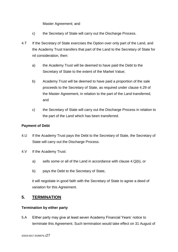Master Agreement; and

- c) the Secretary of State will carry out the Discharge Process.
- 4.T If the Secretary of State exercises the Option over only part of the Land, and the Academy Trust transfers that part of the Land to the Secretary of State for nil consideration, then:
	- a) the Academy Trust will be deemed to have paid the Debt to the Secretary of State to the extent of the Market Value;
	- b) Academy Trust will be deemed to have paid a proportion of the sale proceeds to the Secretary of State, as required under clause 4.29 of the Master Agreement, in relation to the part of the Land transferred, and
	- c) the Secretary of State will carry out the Discharge Process in relation to the part of the Land which has been transferred.

# **Payment of Debt**

- 4.U If the Academy Trust pays the Debt to the Secretary of State, the Secretary of State will carry out the Discharge Process.
- 4.V If the Academy Trust:
	- a) sells some or all of the Land in accordance with clause 4.Q(b), or
	- b) pays the Debt to the Secretary of State,

it will negotiate in good faith with the Secretary of State to agree a deed of variation for this Agreement.

# **5. TERMINATION**

#### <span id="page-26-0"></span>**Termination by either party**

5.A Either party may give at least seven Academy Financial Years' notice to terminate this Agreement. Such termination would take effect on 31 August of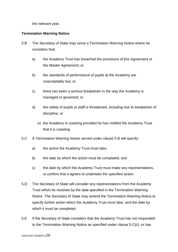the relevant year.

## <span id="page-27-0"></span>**Termination Warning Notice**

- 5.B The Secretary of State may serve a Termination Warning Notice where he considers that:
	- a) the Academy Trust has breached the provisions of this Agreement or the Master Agreement; or
	- b) the standards of performance of pupils at the Academy are unacceptably low; or
	- c) there has been a serious breakdown in the way the Academy is managed or governed; or
	- d) the safety of pupils or staff is threatened, including due to breakdown of discipline; or
		- e) the Academy is coasting provided he has notified the Academy Trust that it is coasting.
- 5.C A Termination Warning Notice served under clause 5.B will specify:
	- a) the action the Academy Trust must take;
	- b) the date by which the action must be completed; and
	- c) the date by which the Academy Trust must make any representations, or confirm that it agrees to undertake the specified action.
- 5.D The Secretary of State will consider any representations from the Academy Trust which he receives by the date specified in the Termination Warning Notice. The Secretary of State may amend the Termination Warning Notice to specify further action which the Academy Trust must take, and the date by which it must be completed.
- 5.E If the Secretary of State considers that the Academy Trust has not responded to the Termination Warning Notice as specified under clause 5.C(c), or has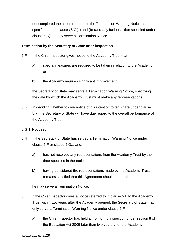not completed the action required in the Termination Warning Notice as specified under clauses 5.C(a) and (b) (and any further action specified under clause 5.D) he may serve a Termination Notice.

#### <span id="page-28-0"></span>**Termination by the Secretary of State after inspection**

- 5.F If the Chief Inspector gives notice to the Academy Trust that:
	- a) special measures are required to be taken in relation to the Academy; or
	- b) the Academy requires significant improvement

the Secretary of State may serve a Termination Warning Notice, specifying the date by which the Academy Trust must make any representations.

- 5.G In deciding whether to give notice of his intention to terminate under clause 5.F, the Secretary of State will have due regard to the overall performance of the Academy Trust.
- 5.G.1 Not used.
- 5.H If the Secretary of State has served a Termination Warning Notice under clause 5.F or clause 5.G.1 and:
	- a) has not received any representations from the Academy Trust by the date specified in the notice; or
	- b) having considered the representations made by the Academy Trust remains satisfied that this Agreement should be terminated;

he may serve a Termination Notice.

- <span id="page-28-1"></span>5.I If the Chief Inspector gives a notice referred to in clause 5.F to the Academy Trust within two years after the Academy opened, the Secretary of State may only serve a Termination Warning Notice under clause 5.F if:
	- a) the Chief Inspector has held a monitoring inspection under section 8 of the Education Act 2005 later than two years after the Academy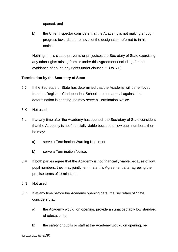opened; and

b) the Chief Inspector considers that the Academy is not making enough progress towards the removal of the designation referred to in his notice.

Nothing in this clause prevents or prejudices the Secretary of State exercising any other rights arising from or under this Agreement (including, for the avoidance of doubt, any rights under clauses 5.B to 5.E).

## **Termination by the Secretary of State**

- 5.J If the Secretary of State has determined that the Academy will be removed from the Register of Independent Schools and no appeal against that determination is pending, he may serve a Termination Notice.
- 5.K Not used.
- 5.L If at any time after the Academy has opened, the Secretary of State considers that the Academy is not financially viable because of low pupil numbers, then he may:
	- a) serve a Termination Warning Notice; or
	- b) serve a Termination Notice.
- 5.M If both parties agree that the Academy is not financially viable because of low pupil numbers, they may jointly terminate this Agreement after agreeing the precise terms of termination.
- 5.N Not used.
- 5.O If at any time before the Academy opening date, the Secretary of State considers that:
	- a) the Academy would, on opening, provide an unacceptably low standard of education; or
	- b) the safety of pupils or staff at the Academy would, on opening, be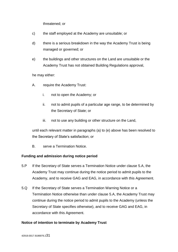threatened; or

- c) the staff employed at the Academy are unsuitable; or
- d) there is a serious breakdown in the way the Academy Trust is being managed or governed; or
- e) the buildings and other structures on the Land are unsuitable or the Academy Trust has not obtained Building Regulations approval,

he may either:

- A. require the Academy Trust:
	- i. not to open the Academy; or
	- ii. not to admit pupils of a particular age range, to be determined by the Secretary of State; or
	- iii. not to use any building or other structure on the Land,

until each relevant matter in paragraphs (a) to (e) above has been resolved to the Secretary of State's satisfaction; or

B. serve a Termination Notice.

#### <span id="page-30-0"></span>**Funding and admission during notice period**

- 5.P If the Secretary of State serves a Termination Notice under clause 5.A, the Academy Trust may continue during the notice period to admit pupils to the Academy, and to receive GAG and EAG, in accordance with this Agreement.
- 5.Q If the Secretary of State serves a Termination Warning Notice or a Termination Notice otherwise than under clause 5.A, the Academy Trust may continue during the notice period to admit pupils to the Academy (unless the Secretary of State specifies otherwise), and to receive GAG and EAG, in accordance with this Agreement.

#### <span id="page-30-1"></span>**Notice of intention to terminate by Academy Trust**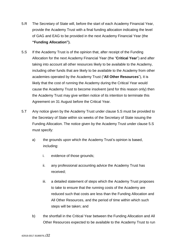- 5.R The Secretary of State will, before the start of each Academy Financial Year, provide the Academy Trust with a final funding allocation indicating the level of GAG and EAG to be provided in the next Academy Financial Year (the **"Funding Allocation").**
- 5.S If the Academy Trust is of the opinion that, after receipt of the Funding Allocation for the next Academy Financial Year (the "**Critical Year**") and after taking into account all other resources likely to be available to the Academy, including other funds that are likely to be available to the Academy from other academies operated by the Academy Trust ("**All Other Resources**"), it is likely that the cost of running the Academy during the Critical Year would cause the Academy Trust to become insolvent (and for this reason only) then the Academy Trust may give written notice of its intention to terminate this Agreement on 31 August before the Critical Year.
- 5.T Any notice given by the Academy Trust under clause 5.S must be provided to the Secretary of State within six weeks of the Secretary of State issuing the Funding Allocation. The notice given by the Academy Trust under clause 5.S must specify:
	- a) the grounds upon which the Academy Trust's opinion is based, including:
		- i. evidence of those grounds;
		- ii. any professional accounting advice the Academy Trust has received;
		- iii. a detailed statement of steps which the Academy Trust proposes to take to ensure that the running costs of the Academy are reduced such that costs are less than the Funding Allocation and All Other Resources, and the period of time within which such steps will be taken; and
	- b) the shortfall in the Critical Year between the Funding Allocation and All Other Resources expected to be available to the Academy Trust to run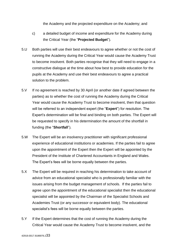the Academy and the projected expenditure on the Academy; and

- c) a detailed budget of income and expenditure for the Academy during the Critical Year (the "**Projected Budget**").
- 5.U Both parties will use their best endeavours to agree whether or not the cost of running the Academy during the Critical Year would cause the Academy Trust to become insolvent. Both parties recognise that they will need to engage in a constructive dialogue at the time about how best to provide education for the pupils at the Academy and use their best endeavours to agree a practical solution to the problem.
- 5.V If no agreement is reached by 30 April (or another date if agreed between the parties) as to whether the cost of running the Academy during the Critical Year would cause the Academy Trust to become insolvent, then that question will be referred to an independent expert (the "**Expert**") for resolution. The Expert's determination will be final and binding on both parties. The Expert will be requested to specify in his determination the amount of the shortfall in funding (the "**Shortfall**").
- 5.W The Expert will be an insolvency practitioner with significant professional experience of educational institutions or academies. If the parties fail to agree upon the appointment of the Expert then the Expert will be appointed by the President of the Institute of Chartered Accountants in England and Wales. The Expert's fees will be borne equally between the parties.
- 5.X The Expert will be required in reaching his determination to take account of advice from an educational specialist who is professionally familiar with the issues arising from the budget management of schools. If the parties fail to agree upon the appointment of the educational specialist then the educational specialist will be appointed by the Chairman of the Specialist Schools and Academies Trust (or any successor or equivalent body). The educational specialist's fees will be borne equally between the parties.
- 5.Y If the Expert determines that the cost of running the Academy during the Critical Year would cause the Academy Trust to become insolvent, and the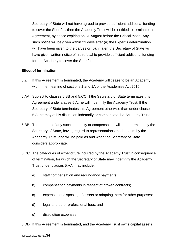Secretary of State will not have agreed to provide sufficient additional funding to cover the Shortfall, then the Academy Trust will be entitled to terminate this Agreement, by notice expiring on 31 August before the Critical Year. Any such notice will be given within 21 days after (a) the Expert's determination will have been given to the parties or (b), if later, the Secretary of State will have given written notice of his refusal to provide sufficient additional funding for the Academy to cover the Shortfall.

#### <span id="page-33-0"></span>**Effect of termination**

- 5.Z If this Agreement is terminated, the Academy will cease to be an Academy within the meaning of sections 1 and 1A of the Academies Act 2010.
- 5.AA Subject to clauses 5.BB and 5.CC, if the Secretary of State terminates this Agreement under clause 5.A, he will indemnify the Academy Trust. If the Secretary of State terminates this Agreement otherwise than under clause 5.A, he may at his discretion indemnify or compensate the Academy Trust.
- 5.BB The amount of any such indemnity or compensation will be determined by the Secretary of State, having regard to representations made to him by the Academy Trust, and will be paid as and when the Secretary of State considers appropriate.
- 5.CC The categories of expenditure incurred by the Academy Trust in consequence of termination, for which the Secretary of State may indemnify the Academy Trust under clauses 5.AA, may include:
	- a) staff compensation and redundancy payments;
	- b) compensation payments in respect of broken contracts;
	- c) expenses of disposing of assets or adapting them for other purposes;
	- d) legal and other professional fees; and
	- e) dissolution expenses.

5.DD If this Agreement is terminated, and the Academy Trust owns capital assets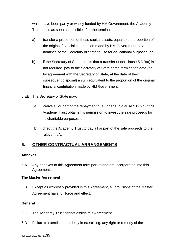which have been partly or wholly funded by HM Government, the Academy Trust must, as soon as possible after the termination date:

- a) transfer a proportion of those capital assets, equal to the proportion of the original financial contribution made by HM Government, to a nominee of the Secretary of State to use for educational purposes; or
- b) if the Secretary of State directs that a transfer under clause 5.DD(a) is not required, pay to the Secretary of State at the termination date (or, by agreement with the Secretary of State, at the date of their subsequent disposal) a sum equivalent to the proportion of the original financial contribution made by HM Government.
- 5.EE The Secretary of State may:
	- a) Waive all or part of the repayment due under sub-clause 5.DD(b) if the Academy Trust obtains his permission to invest the sale proceeds for its charitable purposes; or
	- b) direct the Academy Trust to pay all or part of the sale proceeds to the relevant LA.

# <span id="page-34-0"></span>**6. OTHER CONTRACTUAL ARRANGEMENTS**

# <span id="page-34-1"></span>**Annexes**

6.A Any annexes to this Agreement form part of and are incorporated into this Agreement.

#### <span id="page-34-2"></span>**The Master Agreement**

6.B Except as expressly provided in this Agreement, all provisions of the Master Agreement have full force and effect.

#### <span id="page-34-3"></span>**General**

- 6.C The Academy Trust cannot assign this Agreement.
- 6.D Failure to exercise, or a delay in exercising, any right or remedy of the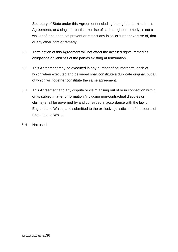Secretary of State under this Agreement (including the right to terminate this Agreement), or a single or partial exercise of such a right or remedy, is not a waiver of, and does not prevent or restrict any initial or further exercise of, that or any other right or remedy.

- 6.E Termination of this Agreement will not affect the accrued rights, remedies, obligations or liabilities of the parties existing at termination.
- 6.F This Agreement may be executed in any number of counterparts, each of which when executed and delivered shall constitute a duplicate original, but all of which will together constitute the same agreement.
- 6.G This Agreement and any dispute or claim arising out of or in connection with it or its subject matter or formation (including non-contractual disputes or claims) shall be governed by and construed in accordance with the law of England and Wales, and submitted to the exclusive jurisdiction of the courts of England and Wales.
- 6.H Not used.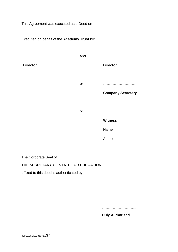This Agreement was executed as a Deed on

Executed on behalf of the **Academy Trust** by: ……………………….. **Director** and ……………………….. **Director** or ……………………….. **Company Secretary** or ……………………….. **Witness** Name: Address:

The Corporate Seal of

# **THE SECRETARY OF STATE FOR EDUCATION**

affixed to this deed is authenticated by:

………………………..

**Duly Authorised**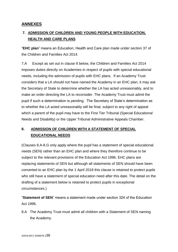# <span id="page-37-0"></span>**ANNEXES**

# <span id="page-37-1"></span>**7. ADMISSION OF CHILDREN AND YOUNG PEOPLE WITH EDUCATION, HEALTH AND CARE PLANS**

"**EHC plan**" means an Education, Health and Care plan made under section 37 of the Children and Families Act 2014.

7.A Except as set out in clause 8 below, the Children and Families Act 2014 imposes duties directly on Academies in respect of pupils with special educational needs, including the admission of pupils with EHC plans. If an Academy Trust considers that a LA should not have named the Academy in an EHC plan, it may ask the Secretary of State to determine whether the LA has acted unreasonably, and to make an order directing the LA to reconsider. The Academy Trust must admit the pupil if such a determination is pending. The Secretary of State's determination as to whether the LA acted unreasonably will be final, subject to any right of appeal which a parent of the pupil may have to the First Tier Tribunal (Special Educational Needs and Disability) or the Upper Tribunal Administrative Appeals Chamber.

# <span id="page-37-2"></span>**8. ADMISSION OF CHILDREN WITH A STATEMENT OF SPECIAL EDUCATIONAL NEEDS**

(Clauses 8.A-8.G only apply where the pupil has a statement of special educational needs (SEN) rather than an EHC plan and where they therefore continue to be subject to the relevant provisions of the Education Act 1996. EHC plans are replacing statements of SEN but although all statements of SEN should have been converted to an EHC plan by the 1 April 2018 this clause is retained to protect pupils who still have a statement of special education need after this date. The detail on the drafting of a statement below is retained to protect pupils in exceptional circumstances.)

"**Statement of SEN**" means a statement made under section 324 of the Education Act 1996.

8.A The Academy Trust must admit all children with a Statement of SEN naming the Academy.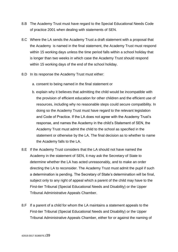- 8.B The Academy Trust must have regard to the Special Educational Needs Code of practice 2001 when dealing with statements of SEN.
- 8.C Where the LA sends the Academy Trust a draft statement with a proposal that the Academy is named in the final statement, the Academy Trust must respond within 15 working days unless the time period falls within a school holiday that is longer than two weeks in which case the Academy Trust should respond within 15 working days of the end of the school holiday.
- 8.D In its response the Academy Trust must either:
	- a. consent to being named in the final statement or
	- b. explain why it believes that admitting the child would be incompatible with the provision of efficient education for other children and the efficient use of resources, including why no reasonable steps could secure compatibility. In doing so the Academy Trust must have regard to the relevant legislation and Code of Practice. If the LA does not agree with the Academy Trust's response, and names the Academy in the child's Statement of SEN, the Academy Trust must admit the child to the school as specified in the statement or otherwise by the LA. The final decision as to whether to name the Academy falls to the LA.
- 8.E If the Academy Trust considers that the LA should not have named the Academy in the statement of SEN, it may ask the Secretary of State to determine whether the LA has acted unreasonably, and to make an order directing the LA to reconsider. The Academy Trust must admit the pupil if such a determination is pending. The Secretary of State's determination will be final, subject only to any right of appeal which a parent of the child may have to the First-tier Tribunal (Special Educational Needs and Disability) or the Upper Tribunal Administrative Appeals Chamber.
- 8.F If a parent of a child for whom the LA maintains a statement appeals to the First-tier Tribunal (Special Educational Needs and Disability) or the Upper Tribunal Administrative Appeals Chamber, either for or against the naming of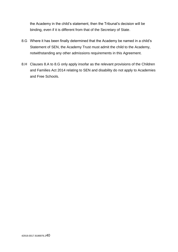the Academy in the child's statement, then the Tribunal's decision will be binding, even if it is different from that of the Secretary of State.

- 8.G Where it has been finally determined that the Academy be named in a child's Statement of SEN, the Academy Trust must admit the child to the Academy, notwithstanding any other admissions requirements in this Agreement.
- 8.H Clauses 8.A to 8.G only apply insofar as the relevant provisions of the Children and Families Act 2014 relating to SEN and disability do not apply to Academies and Free Schools.